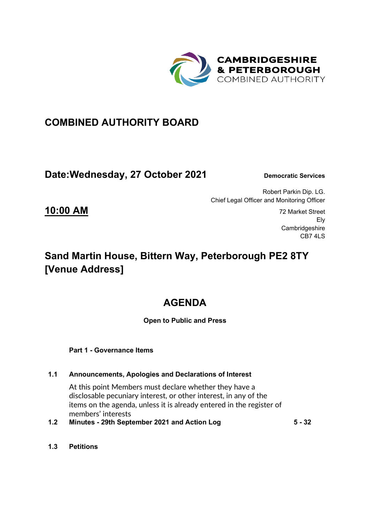

### **COMBINED AUTHORITY BOARD**

### **Date: Wednesday, 27 October 2021** Democratic Services

Robert Parkin Dip. LG. Chief Legal Officer and Monitoring Officer

**10:00 AM** 72 Market Street Ely **Cambridgeshire** CB7 4LS

# **Sand Martin House, Bittern Way, Peterborough PE2 8TY [Venue Address]**

# **AGENDA**

#### **Open to Public and Press**

 **Part 1 - Governance Items** 

#### **1.1 Announcements, Apologies and Declarations of Interest**

At this point Members must declare whether they have a disclosable pecuniary interest, or other interest, in any of the items on the agenda, unless it is already entered in the register of members' interests

- **1.2 Minutes 29th September 2021 and Action Log 5 32**
	-

**1.3 Petitions**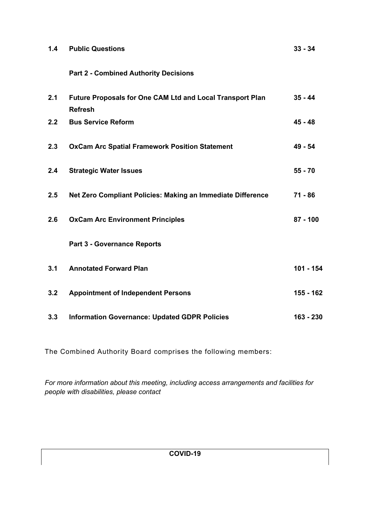| 1.4 | <b>Public Questions</b>                                                     | $33 - 34$  |
|-----|-----------------------------------------------------------------------------|------------|
|     | <b>Part 2 - Combined Authority Decisions</b>                                |            |
| 2.1 | Future Proposals for One CAM Ltd and Local Transport Plan<br><b>Refresh</b> | $35 - 44$  |
| 2.2 | <b>Bus Service Reform</b>                                                   | $45 - 48$  |
| 2.3 | <b>OxCam Arc Spatial Framework Position Statement</b>                       | 49 - 54    |
| 2.4 | <b>Strategic Water Issues</b>                                               | $55 - 70$  |
| 2.5 | Net Zero Compliant Policies: Making an Immediate Difference                 | $71 - 86$  |
| 2.6 | <b>OxCam Arc Environment Principles</b>                                     | $87 - 100$ |
|     | <b>Part 3 - Governance Reports</b>                                          |            |
| 3.1 | <b>Annotated Forward Plan</b>                                               | 101 - 154  |
| 3.2 | <b>Appointment of Independent Persons</b>                                   | 155 - 162  |
| 3.3 | <b>Information Governance: Updated GDPR Policies</b>                        | 163 - 230  |

The Combined Authority Board comprises the following members:

*For more information about this meeting, including access arrangements and facilities for people with disabilities, please contact*